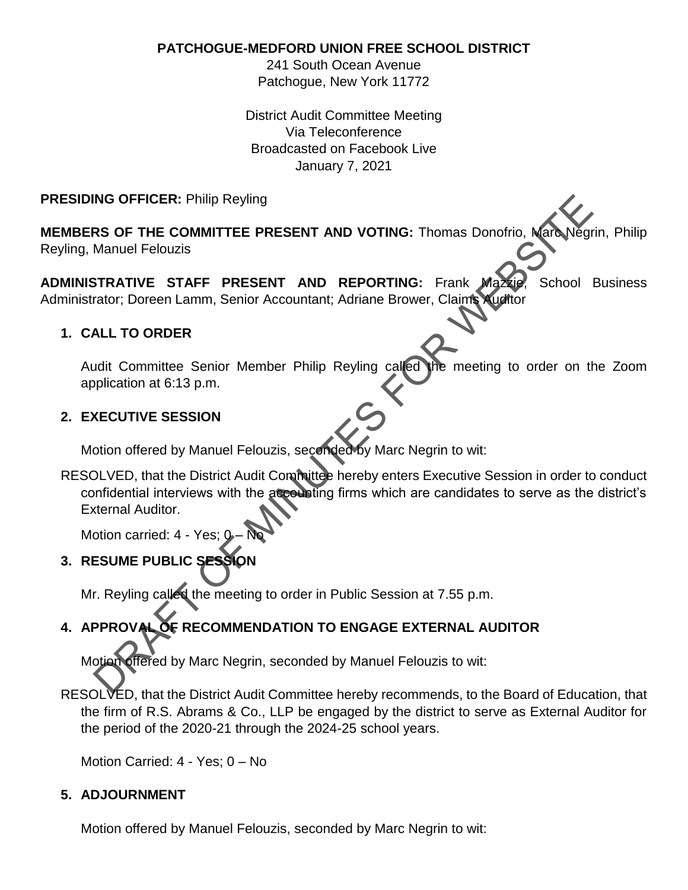**PATCHOGUE-MEDFORD UNION FREE SCHOOL DISTRICT**

241 South Ocean Avenue Patchogue, New York 11772

District Audit Committee Meeting Via Teleconference Broadcasted on Facebook Live January 7, 2021

## **PRESIDING OFFICER:** Philip Reyling

**MEMBERS OF THE COMMITTEE PRESENT AND VOTING:** Thomas Donofrio, Marc Negrin, Philip Reyling, Manuel Felouzis

**ADMINISTRATIVE STAFF PRESENT AND REPORTING:** Frank Mazzie, School Business Administrator; Doreen Lamm, Senior Accountant; Adriane Brower, Claims Auditor

### **1. CALL TO ORDER**

Audit Committee Senior Member Philip Reyling called the meeting to order on the Zoom application at 6:13 p.m.

#### **2. EXECUTIVE SESSION**

Motion offered by Manuel Felouzis, seconded by Marc Negrin to wit:

RESOLVED, that the District Audit Committee hereby enters Executive Session in order to conduct confidential interviews with the accounting firms which are candidates to serve as the district's External Auditor. NG OFFICER: Philip Reyling<br>
NS OF THE COMMITTEE PRESENT AND VOTING: Thomas Donofrio, Mark Veg<br>
Manuel Felouzis<br>
STRATIVE STAFF PRESENT AND REPORTING: Frank Mark School I<br>
STRATIVE STAFF PRESENT AND REPORTING: Frank Mark Sc

Motion carried: 4 - Yes: 0

**3. RESUME PUBLIC SESSION** 

Mr. Reyling called the meeting to order in Public Session at 7.55 p.m.

# **4. APPROVAL OF RECOMMENDATION TO ENGAGE EXTERNAL AUDITOR**

Motion offered by Marc Negrin, seconded by Manuel Felouzis to wit:

RESOLVED, that the District Audit Committee hereby recommends, to the Board of Education, that the firm of R.S. Abrams & Co., LLP be engaged by the district to serve as External Auditor for the period of the 2020-21 through the 2024-25 school years.

Motion Carried: 4 - Yes; 0 – No

#### **5. ADJOURNMENT**

Motion offered by Manuel Felouzis, seconded by Marc Negrin to wit: